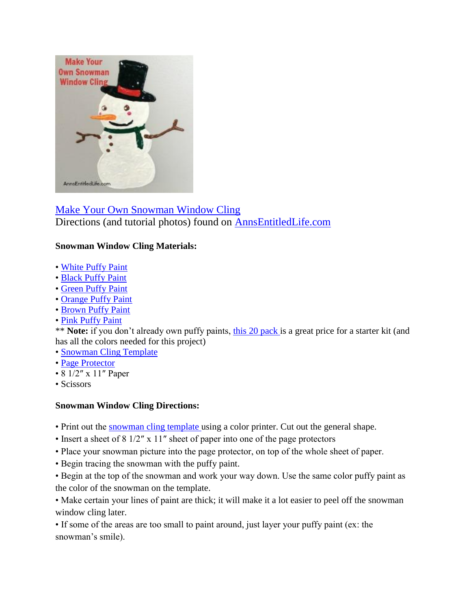

[Make Your Own Snowman Window Cling](http://www.annsentitledlife.com/holidays/make-your-own-snowman-window-cling/) Directions (and tutorial photos) found on [AnnsEntitledLife.com](http://www.annsentitledlife.com/holidays/make-your-own-snowman-window-cling/)

## **Snowman Window Cling Materials:**

- • [White Puffy Paint](http://www.amazon.com/Tulip-Dimensional-Fabric-Paint-Puffy/dp/B007RAQTSS/?_encoding=UTF8&camp=1789&creative=9325&linkCode=ur2&tag=coudeaandmor-20&linkId=HLX47IUCCYYRIYTA)
- • [Black Puffy Paint](http://www.amazon.com/Tulip-Dimensional-Fabric-Paint-Puffy/dp/B007RAQTSS/?_encoding=UTF8&camp=1789&creative=9325&linkCode=ur2&tag=coudeaandmor-20&linkId=3OHATVI2WLPV74ED)
- • [Green Puffy Paint](http://www.amazon.com/Tulip-Dimensional-Fabric-Paint-Puffy/dp/B007RAQTSS/?_encoding=UTF8&camp=1789&creative=9325&linkCode=ur2&tag=coudeaandmor-20&linkId=VIQISZXREGCVO4UI)
- • [Orange Puffy Paint](http://linksynergy.walmart.com/fs-bin/click?id=ctQEoKJlrcE&subid=&offerid=223073.1&type=10&tmpid=1082&RD_PARM1=http%253A%252F%252Fwww.walmart.com%252Fip%252FPuffy-Paint-Orange%252F17299909)
- • [Brown Puffy Paint](http://linksynergy.walmart.com/fs-bin/click?id=ctQEoKJlrcE&subid=&offerid=223073.1&type=10&tmpid=1082&RD_PARM1=http%253A%252F%252Fwww.walmart.com%252Fip%252FPuffy-1-Ounce-Fabric-Paint-Brown%252F36617908)
- • [Pink Puffy Paint](http://linksynergy.walmart.com/fs-bin/click?id=ctQEoKJlrcE&subid=&offerid=223073.1&type=10&tmpid=1082&RD_PARM1=http%253A%252F%252Fwww.walmart.com%252Fip%252FPuffy-Paint-Pink%252F17299886)

\*\* **Note:** if you don't already own puffy paints, [this 20 pack i](http://linksynergy.walmart.com/fs-bin/click?id=ctQEoKJlrcE&subid=&offerid=223073.1&type=10&tmpid=1082&RD_PARM1=http%253A%252F%252Fwww.walmart.com%252Fip%252FPuffy-Paint-Rainbow-20-pack%252F17299932)s a great price for a starter kit (and has all the colors needed for this project)

- • [Snowman Cling Template](http://www.annsentitledlife.com/wp-content/uploads/2015/12/snowman-cling-template.png)
- • [Page Protector](http://www.amazon.com/Avery-Economy-Clear-Protectors-75091/dp/B00006IC89/?_encoding=UTF8&camp=1789&creative=9325&linkCode=ur2&tag=coudeaandmor-20&linkId=B3MP6KIQWKYIMKLZ)
- $8 \frac{1}{2}$  x 11" Paper
- Scissors

## **Snowman Window Cling Directions:**

- Print out the [snowman cling template u](http://www.annsentitledlife.com/wp-content/uploads/2015/12/snowman-cling-template.png)sing a color printer. Cut out the general shape.
- Insert a sheet of 8 1/2″ x 11″ sheet of paper into one of the page protectors
- Place your snowman picture into the page protector, on top of the whole sheet of paper.
- Begin tracing the snowman with the puffy paint.
- Begin at the top of the snowman and work your way down. Use the same color puffy paint as the color of the snowman on the template.

• Make certain your lines of paint are thick; it will make it a lot easier to peel off the snowman window cling later.

• If some of the areas are too small to paint around, just layer your puffy paint (ex: the snowman's smile).